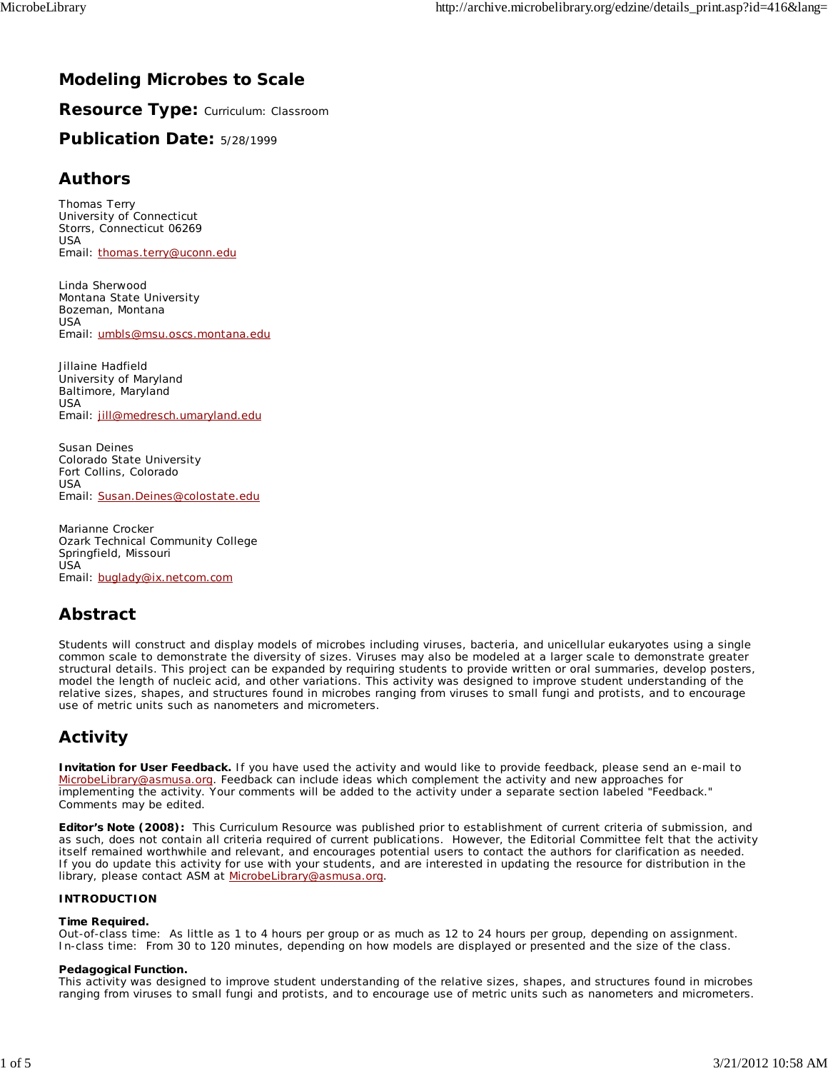# **Modeling Microbes to Scale**

**Resource Type:** Curriculum: Classroom

**Publication Date:** 5/28/1999

## **Authors**

*Thomas Terry* University of Connecticut Storrs, Connecticut 06269 **LISA** Email: thomas.terry@uconn.edu

*Linda Sherwood* Montana State University Bozeman, Montana USA Email: umbls@msu.oscs.montana.edu

*Jillaine Hadfield* University of Maryland Baltimore, Maryland USA Email: jill@medresch.umaryland.edu

*Susan Deines* Colorado State University Fort Collins, Colorado USA Email: Susan.Deines@colostate.edu

*Marianne Crocker* Ozark Technical Community College Springfield, Missouri USA Email: buglady@ix.netcom.com

# **Abstract**

Students will construct and display models of microbes including viruses, bacteria, and unicellular eukaryotes using a single common scale to demonstrate the diversity of sizes. Viruses may also be modeled at a larger scale to demonstrate greater structural details. This project can be expanded by requiring students to provide written or oral summaries, develop posters, model the length of nucleic acid, and other variations. This activity was designed to improve student understanding of the relative sizes, shapes, and structures found in microbes ranging from viruses to small fungi and protists, and to encourage use of metric units such as nanometers and micrometers.

# **Activity**

**Invitation for User Feedback.** If you have used the activity and would like to provide feedback, please send an e-mail to MicrobeLibrary@asmusa.org. Feedback can include ideas which complement the activity and new approaches for implementing the activity. Your comments will be added to the activity under a separate section labeled "Feedback." Comments may be edited.

**Editor's Note (2008):** This Curriculum Resource was published prior to establishment of current criteria of submission, and as such, does not contain all criteria required of current publications. However, the Editorial Committee felt that the activity itself remained worthwhile and relevant, and encourages potential users to contact the authors for clarification as needed. If you do update this activity for use with your students, and are interested in updating the resource for distribution in the library, please contact ASM at **MicrobeLibrary@asmusa.org**.

## **INTRODUCTION**

## **Time Required.**

*Out-of-class time*: As little as 1 to 4 hours per group or as much as 12 to 24 hours per group, depending on assignment. *In-class time*: From 30 to 120 minutes, depending on how models are displayed or presented and the size of the class.

## **Pedagogical Function.**

This activity was designed to improve student understanding of the relative sizes, shapes, and structures found in microbes ranging from viruses to small fungi and protists, and to encourage use of metric units such as nanometers and micrometers.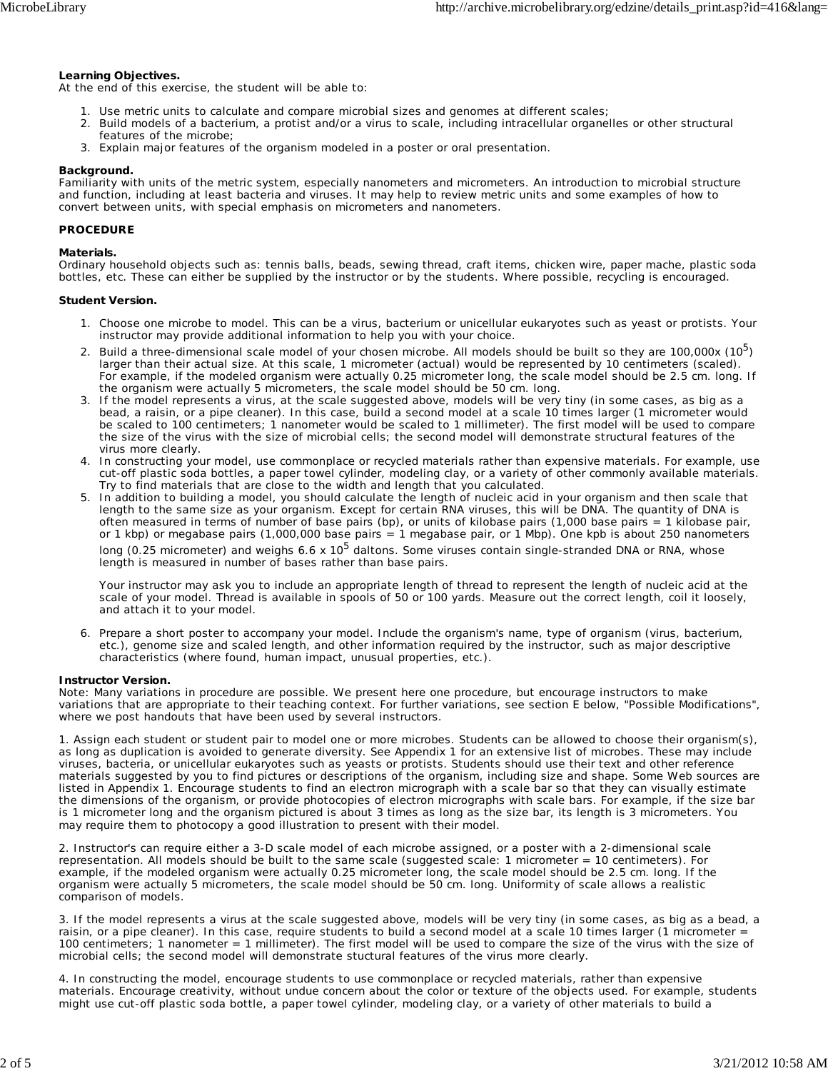## **Learning Objectives.**

At the end of this exercise, the student will be able to:

- 1. Use metric units to calculate and compare microbial sizes and genomes at different scales;
- 2. Build models of a bacterium, a protist and/or a virus to scale, including intracellular organelles or other structural features of the microbe;
- 3. Explain major features of the organism modeled in a poster or oral presentation.

#### **Background.**

Familiarity with units of the metric system, especially nanometers and micrometers. An introduction to microbial structure and function, including at least bacteria and viruses. It may help to review metric units and some examples of how to convert between units, with special emphasis on micrometers and nanometers.

#### **PROCEDURE**

#### **Materials.**

Ordinary household objects such as: tennis balls, beads, sewing thread, craft items, chicken wire, paper mache, plastic soda bottles, etc. These can either be supplied by the instructor or by the students. Where possible, recycling is encouraged.

#### **Student Version.**

- 1. Choose one microbe to model. This can be a virus, bacterium or unicellular eukaryotes such as yeast or protists. Your instructor may provide additional information to help you with your choice.
- 2. Build a three-dimensional scale model of your chosen microbe. All models should be built so they are 100,000x (10<sup>5</sup>) larger than their actual size. At this scale, 1 micrometer (actual) would be represented by 10 centimeters (scaled). For example, if the modeled organism were actually 0.25 micrometer long, the scale model should be 2.5 cm. long. If the organism were actually 5 micrometers, the scale model should be 50 cm. long.
- If the model represents a virus, at the scale suggested above, models will be very tiny (in some cases, as big as a 3. bead, a raisin, or a pipe cleaner). In this case, build a second model at a scale 10 times larger (1 micrometer would be scaled to 100 centimeters; 1 nanometer would be scaled to 1 millimeter). The first model will be used to compare the size of the virus with the size of microbial cells; the second model will demonstrate structural features of the virus more clearly.
- 4. In constructing your model, use commonplace or recycled materials rather than expensive materials. For example, use cut-off plastic soda bottles, a paper towel cylinder, modeling clay, or a variety of other commonly available materials. Try to find materials that are close to the width and length that you calculated.
- 5. In addition to building a model, you should calculate the length of nucleic acid in your organism and then scale that length to the same size as your organism. Except for certain RNA viruses, this will be DNA. The quantity of DNA is often measured in terms of number of base pairs (bp), or units of kilobase pairs (1,000 base pairs = 1 kilobase pair, or 1 kbp) or megabase pairs (1,000,000 base pairs = 1 megabase pair, or 1 Mbp). One kpb is about 250 nanometers long (0.25 micrometer) and weighs 6.6 x 10<sup>5</sup> daltons. Some viruses contain single-stranded DNA or RNA, whose

length is measured in number of bases rather than base pairs.

Your instructor may ask you to include an appropriate length of thread to represent the length of nucleic acid at the scale of your model. Thread is available in spools of 50 or 100 yards. Measure out the correct length, coil it loosely, and attach it to your model.

6. Prepare a short poster to accompany your model. Include the organism's name, type of organism (virus, bacterium, etc.), genome size and scaled length, and other information required by the instructor, such as major descriptive characteristics (where found, human impact, unusual properties, etc.).

#### **Instructor Version.**

Note: Many variations in procedure are possible. We present here one procedure, but encourage instructors to make variations that are appropriate to their teaching context. For further variations, see section E below, "Possible Modifications", where we post handouts that have been used by several instructors.

1. Assign each student or student pair to model one or more microbes. Students can be allowed to choose their organism(s), as long as duplication is avoided to generate diversity. See Appendix 1 for an extensive list of microbes. These may include viruses, bacteria, or unicellular eukaryotes such as yeasts or protists. Students should use their text and other reference materials suggested by you to find pictures or descriptions of the organism, including size and shape. Some Web sources are listed in Appendix 1. Encourage students to find an electron micrograph with a scale bar so that they can visually estimate the dimensions of the organism, or provide photocopies of electron micrographs with scale bars. For example, if the size bar is 1 micrometer long and the organism pictured is about 3 times as long as the size bar, its length is 3 micrometers. You may require them to photocopy a good illustration to present with their model.

2. Instructor's can require either a 3-D scale model of each microbe assigned, or a poster with a 2-dimensional scale representation. All models should be built to the same scale (suggested scale: 1 micrometer = 10 centimeters). For example, if the modeled organism were actually 0.25 micrometer long, the scale model should be 2.5 cm. long. If the organism were actually 5 micrometers, the scale model should be 50 cm. long. Uniformity of scale allows a realistic comparison of models.

3. If the model represents a virus at the scale suggested above, models will be very tiny (in some cases, as big as a bead, a raisin, or a pipe cleaner). In this case, require students to build a second model at a scale 10 times larger (1 micrometer = 100 centimeters; 1 nanometer = 1 millimeter). The first model will be used to compare the size of the virus with the size of microbial cells; the second model will demonstrate stuctural features of the virus more clearly.

4. In constructing the model, encourage students to use commonplace or recycled materials, rather than expensive materials. Encourage creativity, without undue concern about the color or texture of the objects used. For example, students might use cut-off plastic soda bottle, a paper towel cylinder, modeling clay, or a variety of other materials to build a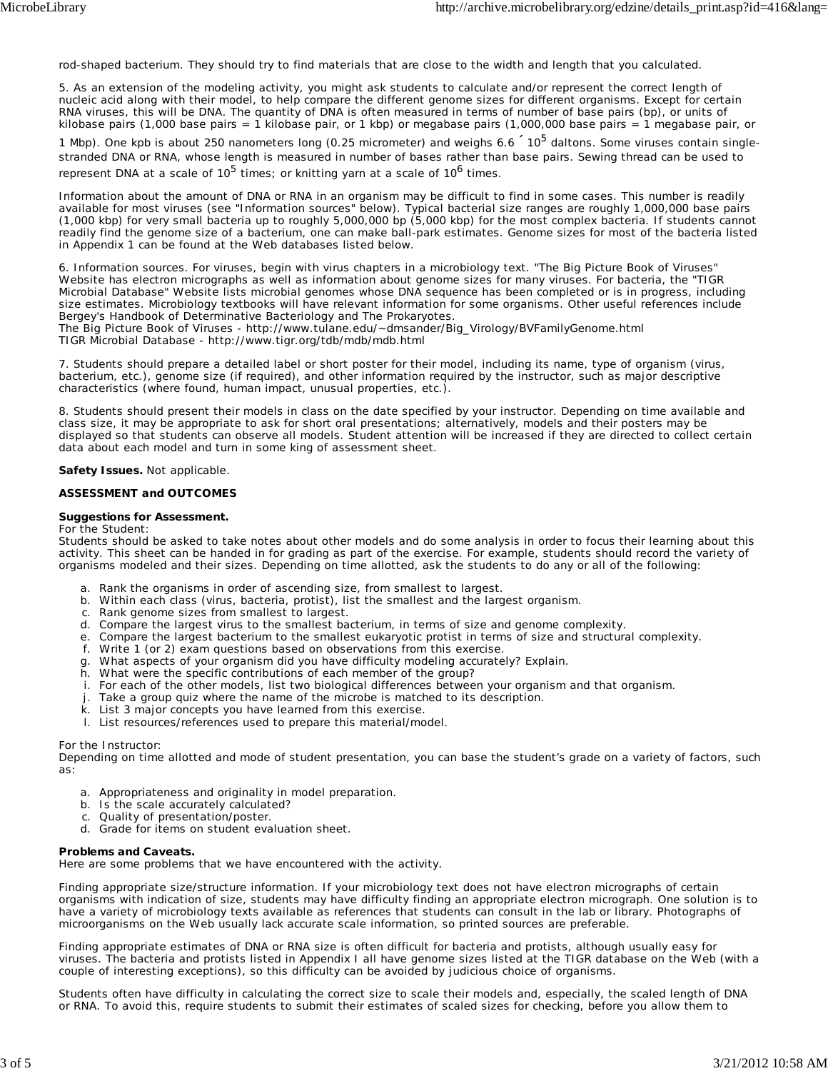rod-shaped bacterium. They should try to find materials that are close to the width and length that you calculated.

5. As an extension of the modeling activity, you might ask students to calculate and/or represent the correct length of nucleic acid along with their model, to help compare the different genome sizes for different organisms. Except for certain RNA viruses, this will be DNA. The quantity of DNA is often measured in terms of number of base pairs (bp), or units of kilobase pairs (1,000 base pairs = 1 kilobase pair, or 1 kbp) or megabase pairs (1,000,000 base pairs = 1 megabase pair, or

1 Mbp). One kpb is about 250 nanometers long (0.25 micrometer) and weighs 6.6  $10<sup>5</sup>$  daltons. Some viruses contain singlestranded DNA or RNA, whose length is measured in number of bases rather than base pairs. Sewing thread can be used to represent DNA at a scale of  $10^5$  times; or knitting yarn at a scale of  $10^6$  times.

Information about the amount of DNA or RNA in an organism may be difficult to find in some cases. This number is readily available for most viruses (see "Information sources" below). Typical bacterial size ranges are roughly 1,000,000 base pairs (1,000 kbp) for very small bacteria up to roughly 5,000,000 bp (5,000 kbp) for the most complex bacteria. If students cannot readily find the genome size of a bacterium, one can make ball-park estimates. Genome sizes for most of the bacteria listed in Appendix 1 can be found at the Web databases listed below.

6. Information sources. For viruses, begin with virus chapters in a microbiology text. "The Big Picture Book of Viruses" Website has electron micrographs as well as information about genome sizes for many viruses. For bacteria, the "TIGR Microbial Database" Website lists microbial genomes whose DNA sequence has been completed or is in progress, including size estimates. Microbiology textbooks will have relevant information for some organisms. Other useful references include Bergey's Handbook of Determinative Bacteriology and The Prokaryotes.

The Big Picture Book of Viruses - http://www.tulane.edu/~dmsander/Big\_Virology/BVFamilyGenome.html TIGR Microbial Database - http://www.tigr.org/tdb/mdb/mdb.html

7. Students should prepare a detailed label or short poster for their model, including its name, type of organism (virus, bacterium, etc.), genome size (if required), and other information required by the instructor, such as major descriptive characteristics (where found, human impact, unusual properties, etc.).

8. Students should present their models in class on the date specified by your instructor. Depending on time available and class size, it may be appropriate to ask for short oral presentations; alternatively, models and their posters may be displayed so that students can observe all models. Student attention will be increased if they are directed to collect certain data about each model and turn in some king of assessment sheet.

**Safety Issues.** Not applicable.

#### **ASSESSMENT and OUTCOMES**

#### **Suggestions for Assessment.**

#### *For the Student:*

Students should be asked to take notes about other models and do some analysis in order to focus their learning about this activity. This sheet can be handed in for grading as part of the exercise. For example, students should record the variety of organisms modeled and their sizes. Depending on time allotted, ask the students to do any or all of the following:

- a. Rank the organisms in order of ascending size, from smallest to largest.
- b. Within each class (virus, bacteria, protist), list the smallest and the largest organism.
- c. Rank genome sizes from smallest to largest.
- d. Compare the largest virus to the smallest bacterium, in terms of size and genome complexity.
- e. Compare the largest bacterium to the smallest eukaryotic protist in terms of size and structural complexity.
- f. Write 1 (or 2) exam questions based on observations from this exercise.
- g. What aspects of your organism did you have difficulty modeling accurately? Explain.
- h. What were the specific contributions of each member of the group?
- i. For each of the other models, list two biological differences between your organism and that organism.
- Take a group quiz where the name of the microbe is matched to its description.
- k. List 3 major concepts you have learned from this exercise.
- l. List resources/references used to prepare this material/model.

#### *For the Instructor:*

Depending on time allotted and mode of student presentation, you can base the student's grade on a variety of factors, such as:

- a. Appropriateness and originality in model preparation.
- b. Is the scale accurately calculated?
- c. Quality of presentation/poster.
- d. Grade for items on student evaluation sheet.

#### **Problems and Caveats.**

Here are some problems that we have encountered with the activity.

Finding appropriate size/structure information. If your microbiology text does not have electron micrographs of certain organisms with indication of size, students may have difficulty finding an appropriate electron micrograph. One solution is to have a variety of microbiology texts available as references that students can consult in the lab or library. Photographs of microorganisms on the Web usually lack accurate scale information, so printed sources are preferable.

Finding appropriate estimates of DNA or RNA size is often difficult for bacteria and protists, although usually easy for viruses. The bacteria and protists listed in Appendix I all have genome sizes listed at the TIGR database on the Web (with a couple of interesting exceptions), so this difficulty can be avoided by judicious choice of organisms.

Students often have difficulty in calculating the correct size to scale their models and, especially, the scaled length of DNA or RNA. To avoid this, require students to submit their estimates of scaled sizes for checking, before you allow them to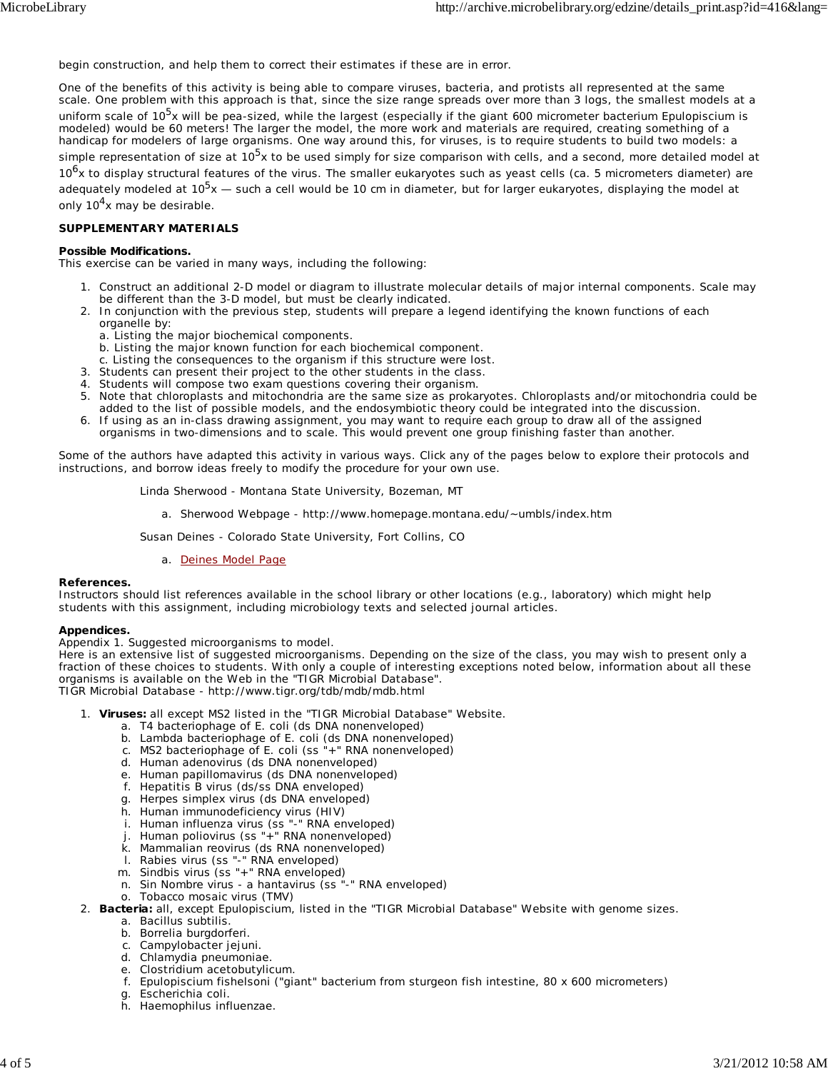begin construction, and help them to correct their estimates if these are in error.

One of the benefits of this activity is being able to compare viruses, bacteria, and protists all represented at the same scale. One problem with this approach is that, since the size range spreads over more than 3 logs, the smallest models at a uniform scale of 10<sup>5</sup>x will be pea-sized, while the largest (especially if the giant 600 micrometer bacterium *Epulopiscium* is modeled) would be 60 meters! The larger the model, the more work and materials are required, creating something of a handicap for modelers of large organisms. One way around this, for viruses, is to require students to build two models: a simple representation of size at 10<sup>5</sup>x to be used simply for size comparison with cells, and a second, more detailed model at 10<sup>6</sup>x to display structural features of the virus. The smaller eukaryotes such as yeast cells (ca. 5 micrometers diameter) are adequately modeled at  $10^5x$  — such a cell would be 10 cm in diameter, but for larger eukaryotes, displaying the model at only  $10<sup>4</sup>$ x may be desirable.

## **SUPPLEMENTARY MATERIALS**

#### **Possible Modifications.**

This exercise can be varied in many ways, including the following:

- 1. Construct an additional 2-D model or diagram to illustrate molecular details of major internal components. Scale may be different than the 3-D model, but must be clearly indicated.
- 2. In conjunction with the previous step, students will prepare a legend identifying the known functions of each organelle by:
	- a. Listing the major biochemical components.
	- b. Listing the major known function for each biochemical component.
	- c. Listing the consequences to the organism if this structure were lost.
- 3. Students can present their project to the other students in the class.
- 4. Students will compose two exam questions covering their organism.
- 5. Note that chloroplasts and mitochondria are the same size as prokaryotes. Chloroplasts and/or mitochondria could be added to the list of possible models, and the endosymbiotic theory could be integrated into the discussion.
- If using as an in-class drawing assignment, you may want to require each group to draw all of the assigned organisms in two-dimensions and to scale. This would prevent one group finishing faster than another. 6.

Some of the authors have adapted this activity in various ways. Click any of the pages below to explore their protocols and instructions, and borrow ideas freely to modify the procedure for your own use.

Linda Sherwood - Montana State University, Bozeman, MT

a. Sherwood Webpage - http://www.homepage.montana.edu/~umbls/index.htm

Susan Deines - Colorado State University, Fort Collins, CO

a. Deines Model Page

#### **References.**

Instructors should list references available in the school library or other locations (e.g., laboratory) which might help students with this assignment, including microbiology texts and selected journal articles.

#### **Appendices.**

*Appendix 1*. Suggested microorganisms to model.

Here is an extensive list of suggested microorganisms. Depending on the size of the class, you may wish to present only a fraction of these choices to students. With only a couple of interesting exceptions noted below, information about all these organisms is available on the Web in the "TIGR Microbial Database".

TIGR Microbial Database - http://www.tigr.org/tdb/mdb/mdb.html

- **Viruses:** all except MS2 listed in the "TIGR Microbial Database" Website. 1.
	- a. T4 bacteriophage of *E. coli* (ds DNA nonenveloped)
		- b. Lambda bacteriophage of *E. coli* (ds DNA nonenveloped)
		- c. MS2 bacteriophage of *E. coli* (ss "+" RNA nonenveloped)
		- d. Human adenovirus (ds DNA nonenveloped)
		- e. Human papillomavirus (ds DNA nonenveloped)
		- f. Hepatitis B virus (ds/ss DNA enveloped)
		- g. Herpes simplex virus (ds DNA enveloped)
		- h. Human immunodeficiency virus (HIV)
		- i. Human influenza virus (ss "-" RNA enveloped)
		- j. Human poliovirus (ss "+" RNA nonenveloped)
		- k. Mammalian reovirus (ds RNA nonenveloped)
		- l. Rabies virus (ss "-" RNA enveloped)
	- m. Sindbis virus (ss "+" RNA enveloped)
	- n. Sin Nombre virus a hantavirus (ss "-" RNA enveloped)
	- o. Tobacco mosaic virus (TMV)
- **Bacteria:** all, except *Epulopiscium*, listed in the "TIGR Microbial Database" Website with genome sizes. 2.
	- a. *Bacillus subtilis*.
	- b. *Borrelia burgdorferi*.
	- c. *Campylobacter jejuni*.
	- d. *Chlamydia pneumoniae*.
	- e. *Clostridium acetobutylicum*.
	- f. *Epulopiscium fishelsoni* ("giant" bacterium from sturgeon fish intestine, 80 x 600 micrometers)
	- g. *Escherichia coli*.
	- h. *Haemophilus influenzae*.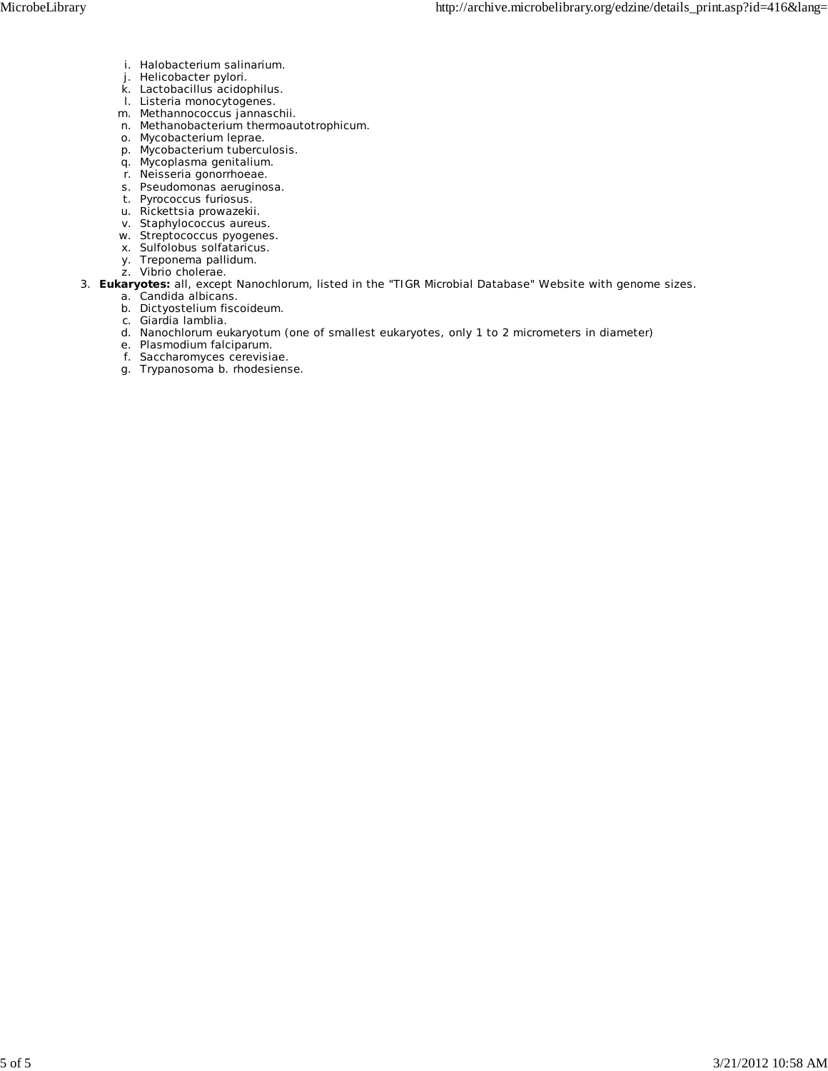- i. *Halobacterium salinarium*.
- j. *Helicobacter pylori*.
- k. *Lactobacillus acidophilus*.
- l. *Listeria monocytogenes*.
- m. *Methannococcus jannaschii*.
- n. *Methanobacterium thermoautotrophicum*.
- o. *Mycobacterium leprae*.
- p. *Mycobacterium tuberculosis*.
- q. *Mycoplasma genitalium*.
- r. *Neisseria gonorrhoeae*.
- s. *Pseudomonas aeruginosa*.
- t. *Pyrococcus furiosus*.
- u. *Rickettsia prowazekii*.
- v. *Staphylococcus aureus*.
- w. *Streptococcus pyogenes*.
- x. *Sulfolobus solfataricus*.
- y. *Treponema pallidum*.
- z. *Vibrio cholerae*.
- **Eukaryotes:** all, except *Nanochlorum*, listed in the "TIGR Microbial Database" Website with genome sizes. 3.
	- a. *Candida albicans*.
	- b. *Dictyostelium fiscoideum*.
	- c. *Giardia lamblia*.
	- d. *Nanochlorum eukaryotum* (one of smallest eukaryotes, only 1 to 2 micrometers in diameter)
	- e. *Plasmodium falciparum*.
	- f. *Saccharomyces cerevisiae*.
	- g. *Trypanosoma b. rhodesiense*.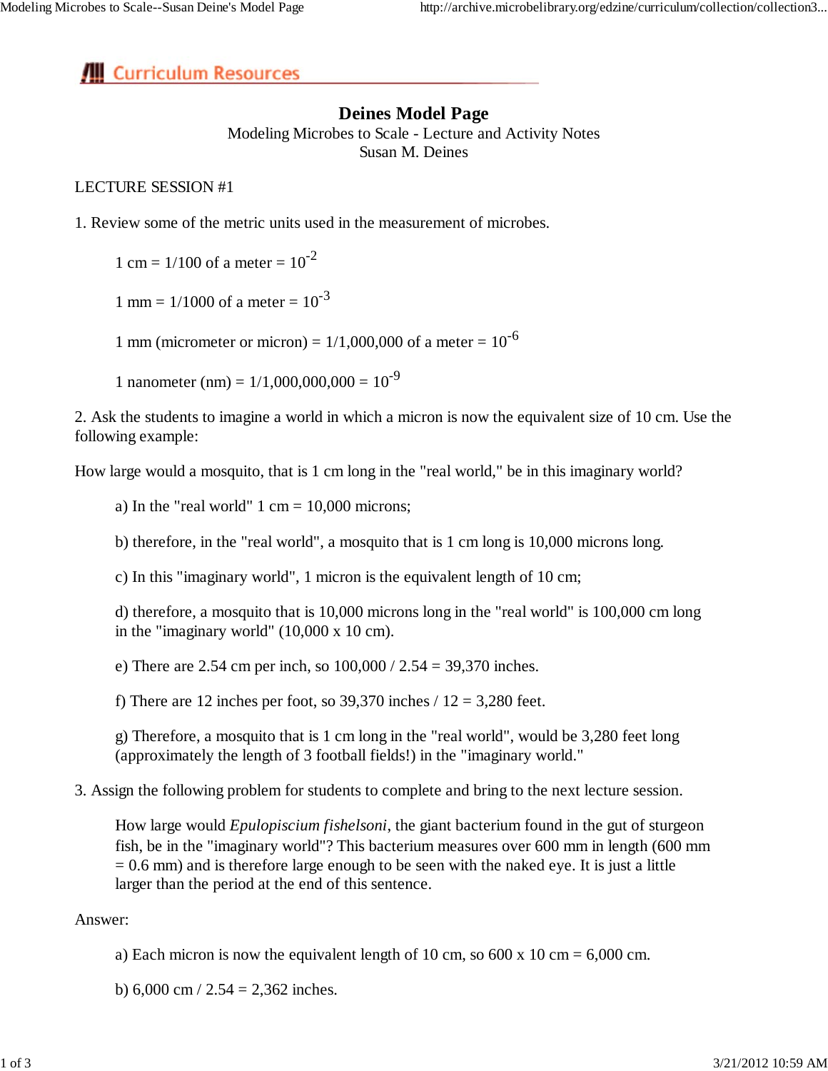# **III** Curriculum Resources

# **Deines Model Page**

Modeling Microbes to Scale - Lecture and Activity Notes Susan M. Deines

## LECTURE SESSION #1

1. Review some of the metric units used in the measurement of microbes.

1 cm =  $1/100$  of a meter =  $10^{-2}$ 

1 mm =  $1/1000$  of a meter =  $10^{-3}$ 

1 mm (micrometer or micron) =  $1/1,000,000$  of a meter =  $10^{-6}$ 

1 nanometer (nm) =  $1/1,000,000,000 = 10^{-9}$ 

2. Ask the students to imagine a world in which a micron is now the equivalent size of 10 cm. Use the following example:

How large would a mosquito, that is 1 cm long in the "real world," be in this imaginary world?

a) In the "real world"  $1 \text{ cm} = 10,000 \text{ microns}$ ;

b) therefore, in the "real world", a mosquito that is 1 cm long is 10,000 microns long.

c) In this "imaginary world", 1 micron is the equivalent length of 10 cm;

d) therefore, a mosquito that is 10,000 microns long in the "real world" is 100,000 cm long in the "imaginary world" (10,000 x 10 cm).

e) There are 2.54 cm per inch, so 100,000 / 2.54 = 39,370 inches.

f) There are 12 inches per foot, so  $39,370$  inches  $/ 12 = 3,280$  feet.

g) Therefore, a mosquito that is 1 cm long in the "real world", would be 3,280 feet long (approximately the length of 3 football fields!) in the "imaginary world."

3. Assign the following problem for students to complete and bring to the next lecture session.

How large would *Epulopiscium fishelsoni*, the giant bacterium found in the gut of sturgeon fish, be in the "imaginary world"? This bacterium measures over 600 mm in length (600 mm  $= 0.6$  mm) and is therefore large enough to be seen with the naked eye. It is just a little larger than the period at the end of this sentence.

Answer:

a) Each micron is now the equivalent length of 10 cm, so  $600 \times 10 \text{ cm} = 6,000 \text{ cm}$ .

b) 6,000 cm  $/ 2.54 = 2,362$  inches.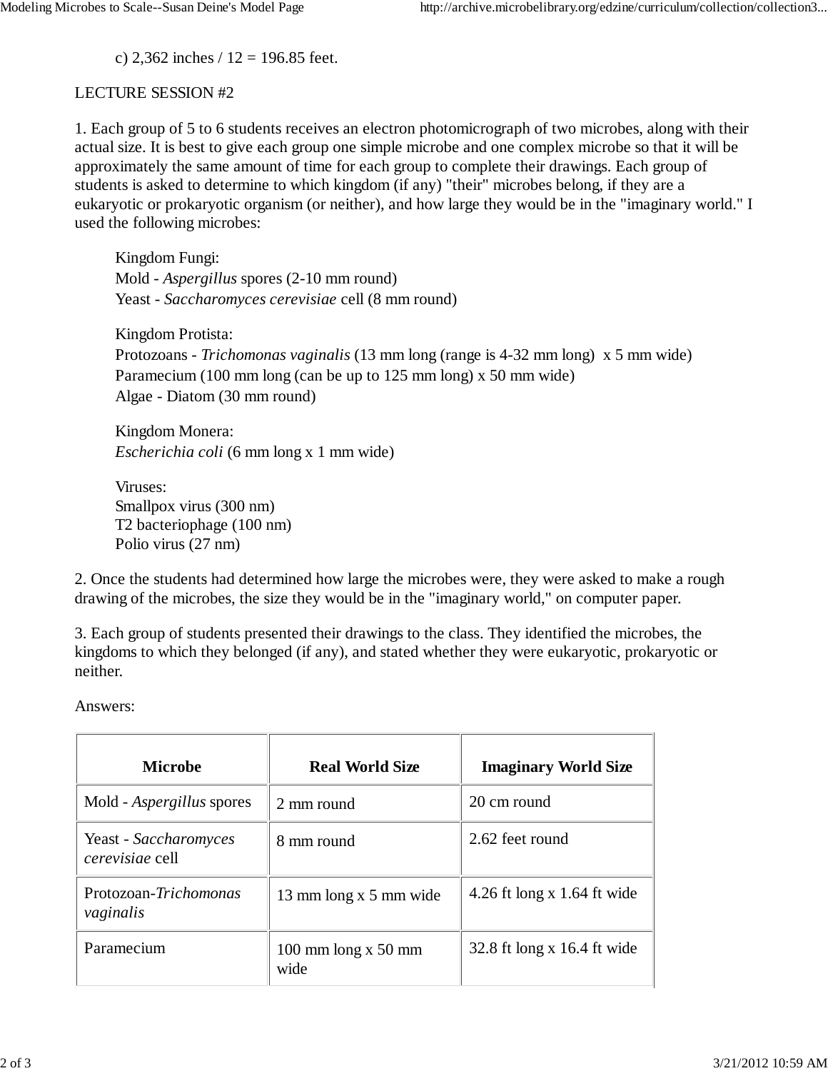c) 2,362 inches  $/ 12 = 196.85$  feet.

## LECTURE SESSION #2

1. Each group of 5 to 6 students receives an electron photomicrograph of two microbes, along with their actual size. It is best to give each group one simple microbe and one complex microbe so that it will be approximately the same amount of time for each group to complete their drawings. Each group of students is asked to determine to which kingdom (if any) "their" microbes belong, if they are a eukaryotic or prokaryotic organism (or neither), and how large they would be in the "imaginary world." I used the following microbes:

Kingdom Fungi: Mold - *Aspergillus* spores (2-10 mm round) Yeast - *Saccharomyces cerevisiae* cell (8 mm round)

Kingdom Protista: Protozoans - *Trichomonas vaginalis* (13 mm long (range is 4-32 mm long) x 5 mm wide) Paramecium (100 mm long (can be up to 125 mm long) x 50 mm wide) Algae - Diatom (30 mm round)

Kingdom Monera: *Escherichia coli* (6 mm long x 1 mm wide)

Viruses: Smallpox virus (300 nm) T2 bacteriophage (100 nm) Polio virus (27 nm)

2. Once the students had determined how large the microbes were, they were asked to make a rough drawing of the microbes, the size they would be in the "imaginary world," on computer paper.

3. Each group of students presented their drawings to the class. They identified the microbes, the kingdoms to which they belonged (if any), and stated whether they were eukaryotic, prokaryotic or neither.

Answers:

| <b>Microbe</b>                           | <b>Real World Size</b>        | <b>Imaginary World Size</b>   |
|------------------------------------------|-------------------------------|-------------------------------|
| Mold - <i>Aspergillus</i> spores         | 2 mm round                    | 20 cm round                   |
| Yeast - Saccharomyces<br>cerevisiae cell | 8 mm round                    | 2.62 feet round               |
| Protozoan-Trichomonas<br>vaginalis       | 13 mm long x 5 mm wide        | 4.26 ft long x 1.64 ft wide   |
| Paramecium                               | 100 mm $\log x$ 50 mm<br>wide | 32.8 ft long x $16.4$ ft wide |